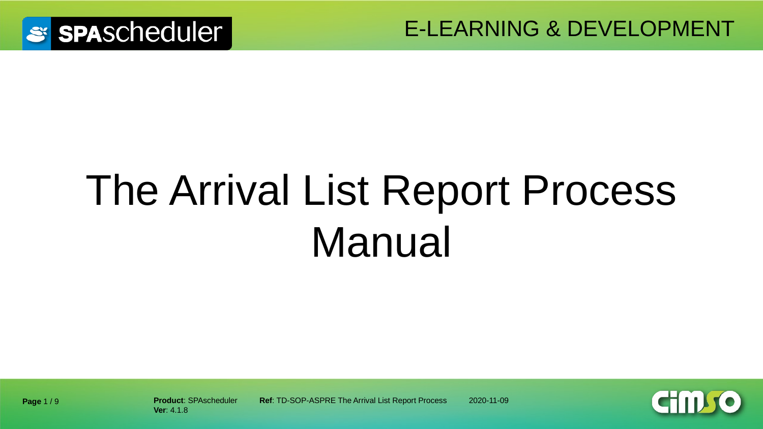

# The Arrival List Report Process Manual



**Ver**: 4.1.8

**Product**: SPAscheduler **Ref**: TD-SOP-ASPRE The Arrival List Report Process 2020-11-09

**Page** 1 / 9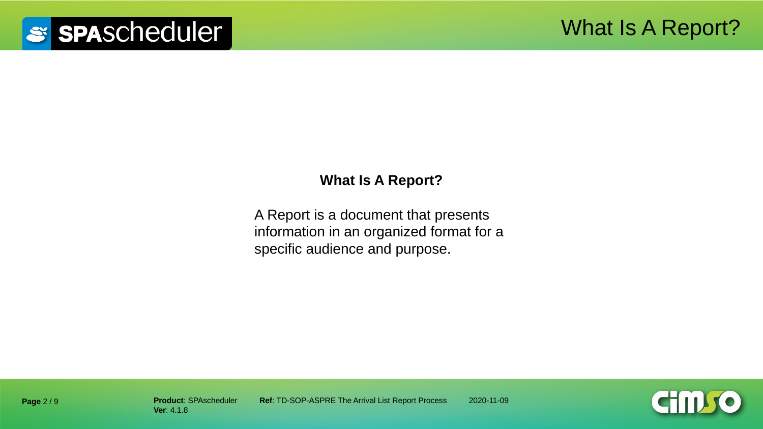#### **What Is A Report?**

A Report is a document that presents information in an organized format for a specific audience and purpose.

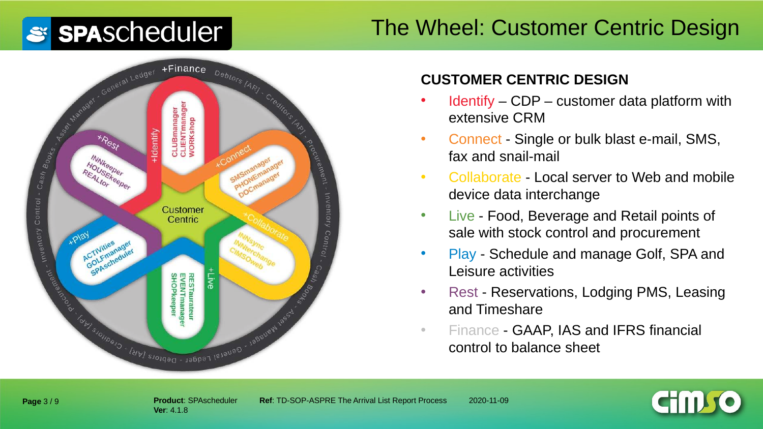### The Wheel: Customer Centric Design



#### **CUSTOMER CENTRIC DESIGN**

- Identify CDP customer data platform with extensive CRM
- Connect Single or bulk blast e-mail, SMS, fax and snail-mail
- Collaborate Local server to Web and mobile device data interchange
- Live Food, Beverage and Retail points of sale with stock control and procurement
- Play Schedule and manage Golf, SPA and Leisure activities
- Rest Reservations, Lodging PMS, Leasing and Timeshare
- Finance GAAP, IAS and IFRS financial control to balance sheet

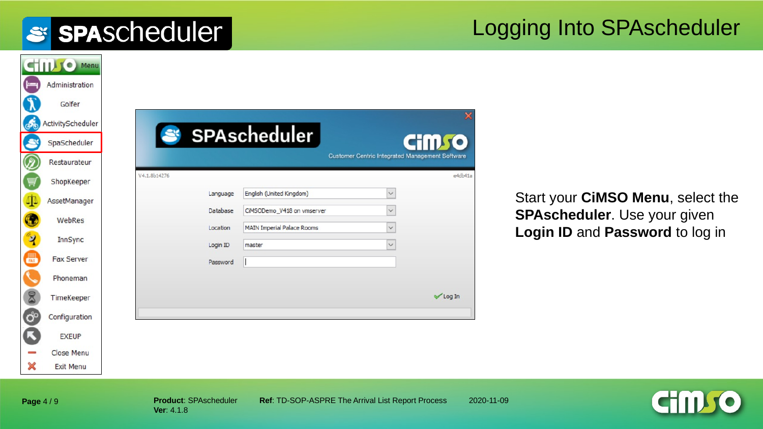#### Logging Into SPAscheduler

|                    | STILL O Menu      |
|--------------------|-------------------|
| ⊨⊨                 | Administration    |
|                    | Golfer            |
| ණි                 | ActivityScheduler |
|                    | SpaScheduler      |
|                    | Restaurateur      |
|                    | ShopKeeper        |
| 伞                  | AssetManager      |
|                    | WebRes            |
|                    |                   |
| $\mathbf{\hat{z}}$ | InnSync           |
| 最                  | <b>Fax Server</b> |
|                    | Phoneman          |
| 8                  | TimeKeeper        |
| $\ddot{Q}^o$       | Configuration     |
|                    | <b>EXEUP</b>      |
|                    | Close Menu        |
| X                  | <b>Exit Menu</b>  |

Start your **CiMSO Menu**, select the **SPAscheduler**. Use your given **Login ID** and **Password** to log in



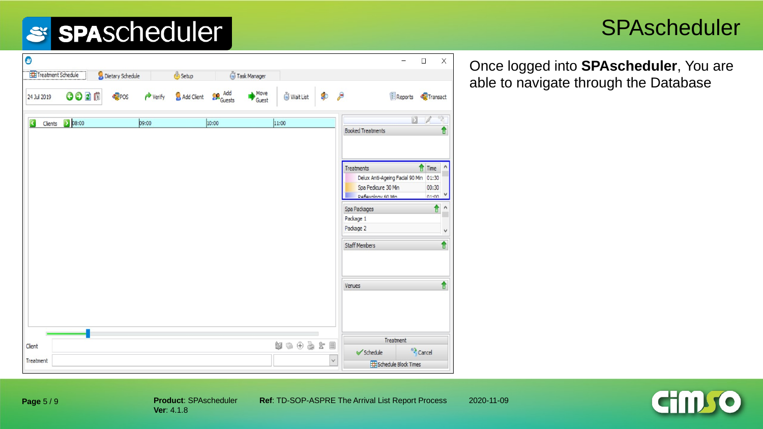#### **SPAscheduler**

Once logged into **SPAscheduler**, You are able to navigate through the Database

| $\bullet$               |                 |                  |                      |            |               |               |           |                                                                                                   |                                                         | $\overline{\phantom{0}}$        | $\Box$                               | $\times$          |
|-------------------------|-----------------|------------------|----------------------|------------|---------------|---------------|-----------|---------------------------------------------------------------------------------------------------|---------------------------------------------------------|---------------------------------|--------------------------------------|-------------------|
| Treatment Schedule      |                 | Dietary Schedule |                      | Setup      |               | Task Manager  |           |                                                                                                   |                                                         |                                 |                                      |                   |
| 24 Jul 2019             | GODB            | POS              | $\rightarrow$ Verify | Add Client | <b>Re</b> Add | Move<br>Guest | Wait List | Þ<br>$\mathcal{P}$                                                                                |                                                         | Reports <b>C</b> Transact       |                                      |                   |
| $\overline{\mathbf{C}}$ | Clients 2 08:00 |                  | 09:00                |            | 10:00         |               | 11:00     |                                                                                                   | <b>Booked Treatments</b>                                | D                               |                                      | 宮<br>€            |
|                         |                 |                  |                      |            |               |               |           |                                                                                                   | Treatments<br>Spa Pedicure 30 Min<br>Deflevology 60 Min | Delux Anti-Ageing Facial 90 Min | Time<br>01:30<br>00:30<br>$n1 - n n$ | ٨                 |
|                         |                 |                  |                      |            |               |               |           |                                                                                                   | Spa Packages<br>Package 1<br>Package 2                  |                                 | €                                    | ٨<br>$\checkmark$ |
|                         |                 |                  |                      |            |               |               |           |                                                                                                   | <b>Staff Members</b>                                    |                                 |                                      | ↑                 |
|                         |                 |                  |                      |            |               |               |           |                                                                                                   | Venues                                                  |                                 |                                      | ↑                 |
|                         |                 |                  |                      |            |               |               |           |                                                                                                   |                                                         |                                 |                                      |                   |
| Client                  |                 |                  |                      |            |               |               | 解         | $\begin{smallmatrix} \bullet & \bullet & \bullet & \bullet & \bullet & \bullet \end{smallmatrix}$ | $\checkmark$ Schedule                                   | Treatment                       | <sup>43</sup> Cancel                 |                   |
| Treatment               |                 |                  |                      |            |               |               |           | $\checkmark$                                                                                      |                                                         | Schedule Block Times            |                                      |                   |



**Page** 5 / 9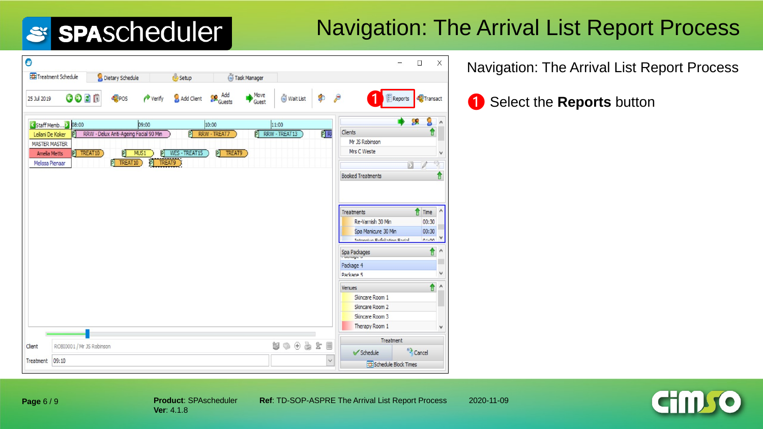## Navigation: The Arrival List Report Process

| $\bullet$                                                                                                                                                                               |                                        |                                  |                                    | $\Box$                                                                                                                                  | $\times$     |
|-----------------------------------------------------------------------------------------------------------------------------------------------------------------------------------------|----------------------------------------|----------------------------------|------------------------------------|-----------------------------------------------------------------------------------------------------------------------------------------|--------------|
| Treatment Schedule<br>Dietary Schedule                                                                                                                                                  | <b>Setup</b>                           | Task Manager                     |                                    |                                                                                                                                         |              |
| GODD<br>POS<br>25 Jul 2019                                                                                                                                                              | Add Client<br>$\rightarrow$ Verify     | Move<br><b>Conducts</b><br>Guest | Ø<br>Wait List                     | $\epsilon$<br>$E$ Reports<br>Transact                                                                                                   |              |
| Staff Memb 2 08:00                                                                                                                                                                      | 09:00                                  | 10:00                            | 11:00                              | æ                                                                                                                                       |              |
| RRW - Delux Anti-Ageing Facial 90 Min<br>Leilani De Koker<br>$\mathbb{P}$<br><b>MASTER MASTER</b><br>P TREAT10<br>P<br><b>Amelia Metts</b><br>$\overline{P}$ TREAT10<br>Melissa Pienaar | 可<br>P WES-TREAT15<br>MUS1<br>P TREAT9 | 可<br>RRW - TREAT7<br>P TREAT9    | $\overline{P}$ RF<br>RRW - TREAT13 | Clients<br>Mr JS Robinson<br>Mrs C Weste<br><b>Booked Treatments</b>                                                                    | v<br>T<br>⋔  |
|                                                                                                                                                                                         |                                        |                                  |                                    | ⇑<br>Time<br><b>Treatments</b><br>Re-Varnish 30 Min<br>00:30<br>Spa Manicure 30 Min<br>00:30<br>Informition Eufoliation Eartel<br>01.00 |              |
|                                                                                                                                                                                         |                                        |                                  |                                    | î<br>Spa Packages                                                                                                                       | $\lambda$    |
|                                                                                                                                                                                         |                                        |                                  |                                    | Package 4<br>Package 5                                                                                                                  | v            |
|                                                                                                                                                                                         |                                        |                                  |                                    | û<br>Venues<br>Skincare Room 1<br>Skincare Room 2<br>Skincare Room 3                                                                    | Λ            |
|                                                                                                                                                                                         |                                        |                                  |                                    | Therapy Room 1                                                                                                                          | $\checkmark$ |
| ROBI0001 / Mr JS Robinson<br>Client                                                                                                                                                     |                                        |                                  | $w \circ \theta \circ x =$         | Treatment                                                                                                                               |              |
| 09:10<br>Treatment                                                                                                                                                                      |                                        |                                  | $\checkmark$                       | <sup>63</sup> Cancel<br>Schedule<br>Schedule Block Times                                                                                |              |

Navigation: The Arrival List Report Process

❶ ❶ Select the **Reports** button

**Page** 6 / 9

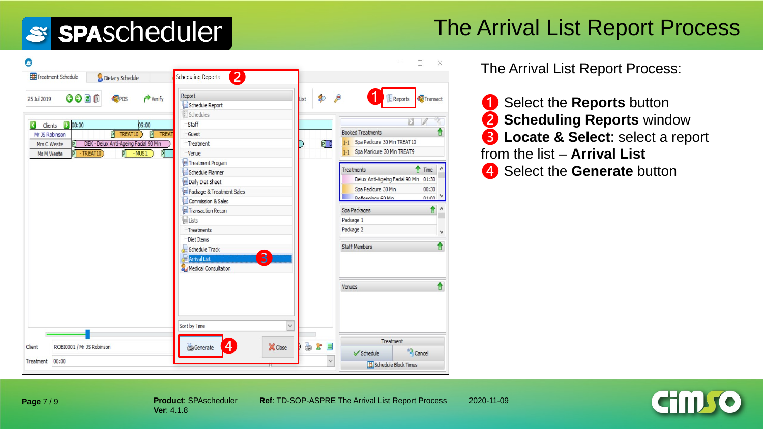### The Arrival List Report Process

| Treatment Schedule<br>Dietary Schedule                        | <b>Scheduling Reports</b><br>$\mathbf{2}$ |                   |                                               |
|---------------------------------------------------------------|-------------------------------------------|-------------------|-----------------------------------------------|
| $O$ $O$ $B$ $B$<br>$\rightarrow$ Verify<br>POS<br>25 Jul 2019 | Report<br>Schedule Report<br>Schedules    | $\bullet$<br>List | B<br><b>E</b> Reports<br>Transact             |
| $\triangleright$ 08:00<br>₹<br>09:00<br>Clients               | Staff                                     |                   | Б                                             |
| P TREAT10<br>P<br>TREAT<br>Mr JS Robinson                     | Guest                                     |                   | <b>Booked Treatments</b>                      |
| DEK - Delux Anti-Ageing Facial 90 Min<br>Mrs C Weste<br> P    | Treatment                                 | PI D              | 1-1 Spa Pedicure 30 Min TREAT10               |
| $\overline{P}$ - TREAT10<br>$P$ -MUS1<br>盯<br>Ms M Weste      | Venue                                     |                   | 1-1 Spa Manicure 30 Min TREAT9                |
|                                                               | Treatment Progam                          |                   |                                               |
|                                                               | Schedule Planner                          |                   | Time<br><b>Treatments</b>                     |
|                                                               | Daily Diet Sheet                          |                   | Delux Anti-Ageing Facial 90 Min 01:30         |
|                                                               | Package & Treatment Sales                 |                   | Spa Pedicure 30 Min<br>00:30                  |
|                                                               | Commission & Sales                        |                   | Deflevology 60 Min<br>$01 - 00$               |
|                                                               | Transaction Recon                         |                   | ↑<br>Spa Packages                             |
|                                                               | <b>ELists</b>                             |                   | Package 1                                     |
|                                                               | Treatments                                |                   | Package 2<br>v                                |
|                                                               | Diet Items                                |                   |                                               |
|                                                               | Schedule Track                            |                   | ↑<br><b>Staff Members</b>                     |
|                                                               | 3<br><b>Arrival List</b>                  |                   |                                               |
|                                                               | Medical Consultation                      |                   |                                               |
|                                                               |                                           |                   | ↟<br>Venues                                   |
|                                                               |                                           |                   |                                               |
|                                                               |                                           |                   |                                               |
|                                                               | Sort by Time<br>$\checkmark$              |                   |                                               |
|                                                               |                                           |                   | Treatment                                     |
| ROBI0001 / Mr JS Robinson<br>Client                           | 4<br>Generate<br>X Close                  | 3x                | <sup>63</sup> Cancel<br>$\checkmark$ Schedule |
| 06:00<br>Treatment                                            |                                           | $\checkmark$      | Schedule Block Times                          |

The Arrival List Report Process:

❶ Select the **Reports** button ❷ **Scheduling Reports** window ❸ **Locate & Select**: select a report from the list – **Arrival List**  4 Select the **Generate** button



**Page** 7 / 9

**Product**: SPAscheduler **Ref**: TD-SOP-ASPRE The Arrival List Report Process 2020-11-09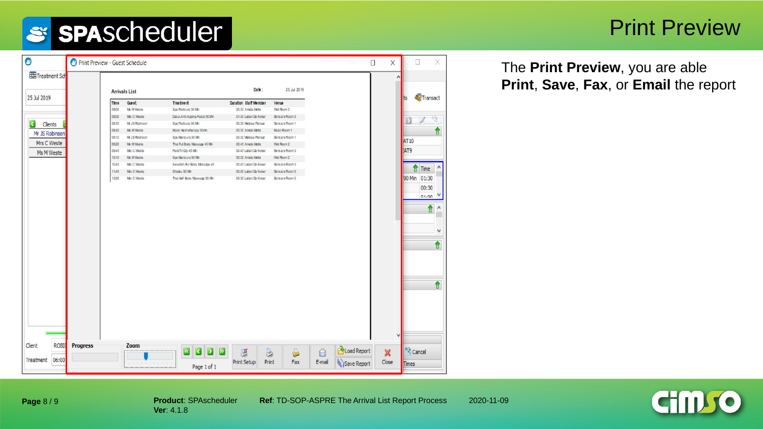#### Print Preview

| Treatment Sch                      |                                                |                                                   | Date:                                    | 25 Jul 2019                   |             | ٨                    |
|------------------------------------|------------------------------------------------|---------------------------------------------------|------------------------------------------|-------------------------------|-------------|----------------------|
| 25 Jul 2019                        | <b>Arrivals List</b>                           |                                                   |                                          |                               |             | Transact             |
|                                    | Guest:<br>Time                                 | Treatment                                         | <b>Duration Staff Member</b>             | Venue                         |             |                      |
|                                    | 0800<br>Ms M Weste                             | Spa Podicuro 30 Mn                                | 00:30 Ampla Motts                        | Wet Room 2                    |             |                      |
|                                    | 0800<br>Mrs C Weste                            | Daiux Anti-Ageing Fadal 90 Min                    | 01:30 Leilani De Koker                   | Sincare Room 3                |             |                      |
| Clients                            | 08:35<br>Mr JS Robinson                        | Spa Pedicure 30 Mn                                | 00:30 Melssa Plenaar                     | Skincare Room 1               |             |                      |
| Mr JS Robinson                     | 0845<br>Ms M Weste                             | Music Hydrotherapy 30min                          | 00:30 Ampla Motts                        | Music Room 1                  |             |                      |
| Mrs C Weste                        | 09:10<br>Mr JS Robinson<br>09:20<br>Ms M Weste | Spa Manicure 30 Mn<br>Thai Ful Body Massage 45 Mn | 00:30 Melssa Penaar<br>00:45 Ampla Motts | Skincare Room 1<br>Wat Room 2 |             | AT 10                |
|                                    | 09:45<br>Mrs C Weste                           | Paraffin Dip 45 Mn                                | 00:45 Leilani De Koker                   | Skincare Room 3               |             | <b>AT9</b>           |
| Ms M Weste                         | 10:10<br>Ms M Weste                            | Spa Manicure 30 Mn                                | 00:30 Ampla Motts                        | Wat Room 2                    |             |                      |
|                                    | 1045<br>Mrs C Weste                            | Swedish Rill Body Massage 45                      | 00:45 Leilani Do Koker                   | Skincare Room 3               |             |                      |
|                                    | 1145<br>Mrs C Weste                            | Shabu 50 Mn                                       | 00:50 Leilani De Koker                   | Slincare Room 3               |             | Time<br>Λ            |
|                                    | 1300<br>Mrs C Weste                            | Thai Half Body Massage 30 Mn                      | 00:30 Leilani De Koker                   | Slincare Room 3               |             | 90 Min 01:30         |
|                                    |                                                |                                                   |                                          |                               |             |                      |
|                                    |                                                |                                                   |                                          |                               |             | 00:30                |
|                                    |                                                |                                                   |                                          |                               |             | $01 - 00$            |
|                                    |                                                |                                                   |                                          |                               |             | €                    |
|                                    |                                                |                                                   |                                          |                               |             |                      |
|                                    |                                                |                                                   |                                          |                               |             | v                    |
|                                    |                                                |                                                   |                                          |                               |             |                      |
|                                    |                                                |                                                   |                                          |                               |             | $\hat{\mathbf{r}}$   |
|                                    |                                                |                                                   |                                          |                               |             |                      |
|                                    |                                                |                                                   |                                          |                               |             |                      |
|                                    |                                                |                                                   |                                          |                               |             |                      |
|                                    |                                                |                                                   |                                          |                               |             |                      |
|                                    |                                                |                                                   |                                          |                               |             |                      |
|                                    |                                                |                                                   |                                          |                               |             | €                    |
|                                    |                                                |                                                   |                                          |                               |             |                      |
|                                    |                                                |                                                   |                                          |                               |             |                      |
|                                    |                                                |                                                   |                                          |                               |             |                      |
|                                    |                                                |                                                   |                                          |                               |             |                      |
|                                    |                                                |                                                   |                                          |                               |             |                      |
|                                    |                                                |                                                   |                                          |                               |             |                      |
|                                    |                                                |                                                   |                                          |                               |             | $\checkmark$         |
|                                    |                                                |                                                   |                                          |                               |             |                      |
| Client<br>ROBIO<br><b>Progress</b> | Zoom                                           | <b>CDD</b>                                        |                                          |                               | Load Report | <sup>83</sup> Cancel |

The **Print Preview**, you are able **Print**, **Save**, **Fax**, or **Email** the report

**Page** 8 / 9

**Ver**: 4.1.8

**Product:** SPAscheduler **Ref: TD-SOP-ASPRE The Arrival List Report Process 2020-11-09**